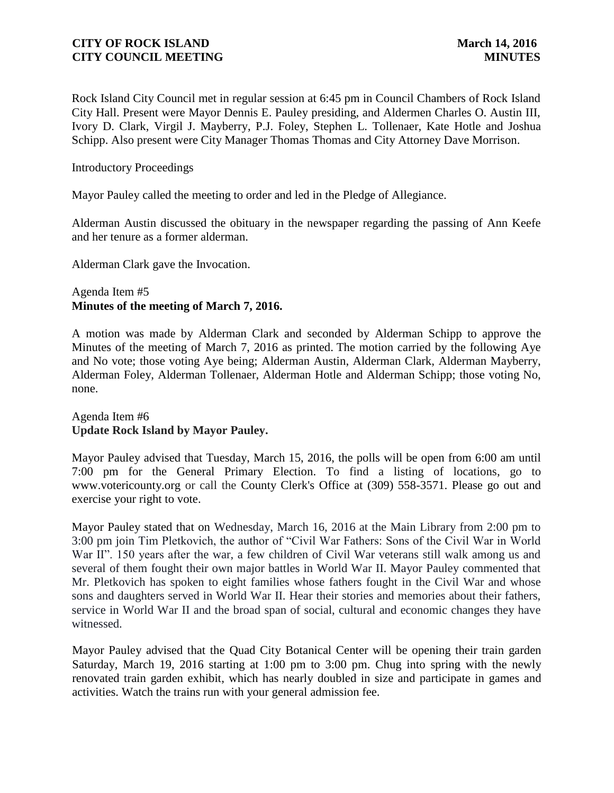Rock Island City Council met in regular session at 6:45 pm in Council Chambers of Rock Island City Hall. Present were Mayor Dennis E. Pauley presiding, and Aldermen Charles O. Austin III, Ivory D. Clark, Virgil J. Mayberry, P.J. Foley, Stephen L. Tollenaer, Kate Hotle and Joshua Schipp. Also present were City Manager Thomas Thomas and City Attorney Dave Morrison.

Introductory Proceedings

Mayor Pauley called the meeting to order and led in the Pledge of Allegiance.

Alderman Austin discussed the obituary in the newspaper regarding the passing of Ann Keefe and her tenure as a former alderman.

Alderman Clark gave the Invocation.

# Agenda Item #5 **Minutes of the meeting of March 7, 2016.**

A motion was made by Alderman Clark and seconded by Alderman Schipp to approve the Minutes of the meeting of March 7, 2016 as printed. The motion carried by the following Aye and No vote; those voting Aye being; Alderman Austin, Alderman Clark, Alderman Mayberry, Alderman Foley, Alderman Tollenaer, Alderman Hotle and Alderman Schipp; those voting No, none.

Agenda Item #6 **Update Rock Island by Mayor Pauley.** 

Mayor Pauley advised that Tuesday, March 15, 2016, the polls will be open from 6:00 am until 7:00 pm for the General Primary Election. To find a listing of locations, go to www.votericounty.org or call the County Clerk's Office at (309) 558-3571. Please go out and exercise your right to vote.

Mayor Pauley stated that on Wednesday, March 16, 2016 at the Main Library from 2:00 pm to 3:00 pm join Tim Pletkovich, the author of "Civil War Fathers: Sons of the Civil War in World War II". 150 years after the war, a few children of Civil War veterans still walk among us and several of them fought their own major battles in World War II. Mayor Pauley commented that Mr. Pletkovich has spoken to eight families whose fathers fought in the Civil War and whose sons and daughters served in World War II. Hear their stories and memories about their fathers, service in World War II and the broad span of social, cultural and economic changes they have witnessed.

Mayor Pauley advised that the Quad City Botanical Center will be opening their train garden Saturday, March 19, 2016 starting at 1:00 pm to 3:00 pm. Chug into spring with the newly renovated train garden exhibit, which has nearly doubled in size and participate in games and activities. Watch the trains run with your general admission fee.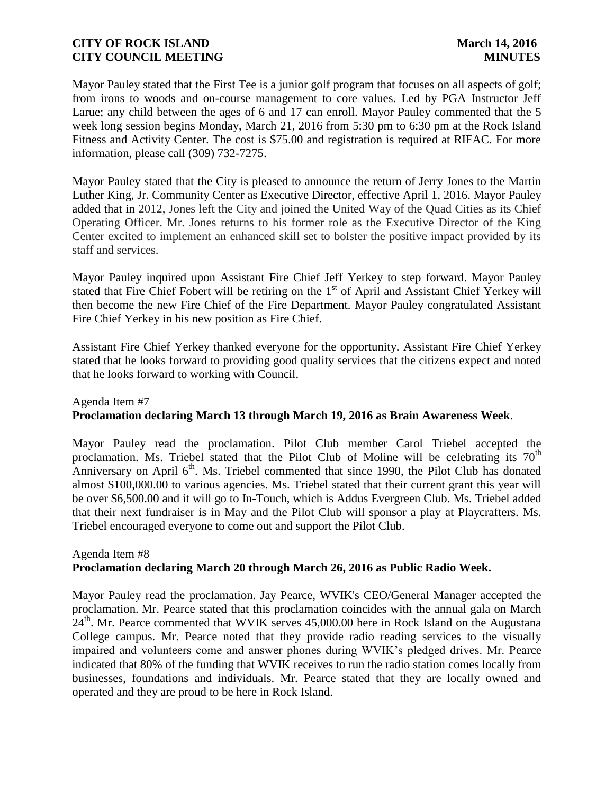Mayor Pauley stated that the First Tee is a junior golf program that focuses on all aspects of golf; from irons to woods and on-course management to core values. Led by PGA Instructor Jeff Larue; any child between the ages of 6 and 17 can enroll. Mayor Pauley commented that the 5 week long session begins Monday, March 21, 2016 from 5:30 pm to 6:30 pm at the Rock Island Fitness and Activity Center. The cost is \$75.00 and registration is required at RIFAC. For more information, please call (309) 732-7275.

Mayor Pauley stated that the City is pleased to announce the return of Jerry Jones to the Martin Luther King, Jr. Community Center as Executive Director, effective April 1, 2016. Mayor Pauley added that in 2012, Jones left the City and joined the United Way of the Quad Cities as its Chief Operating Officer. Mr. Jones returns to his former role as the Executive Director of the King Center excited to implement an enhanced skill set to bolster the positive impact provided by its staff and services.

Mayor Pauley inquired upon Assistant Fire Chief Jeff Yerkey to step forward. Mayor Pauley stated that Fire Chief Fobert will be retiring on the 1<sup>st</sup> of April and Assistant Chief Yerkey will then become the new Fire Chief of the Fire Department. Mayor Pauley congratulated Assistant Fire Chief Yerkey in his new position as Fire Chief.

Assistant Fire Chief Yerkey thanked everyone for the opportunity. Assistant Fire Chief Yerkey stated that he looks forward to providing good quality services that the citizens expect and noted that he looks forward to working with Council.

# Agenda Item #7 **Proclamation declaring March 13 through March 19, 2016 as Brain Awareness Week**.

Mayor Pauley read the proclamation. Pilot Club member Carol Triebel accepted the proclamation. Ms. Triebel stated that the Pilot Club of Moline will be celebrating its  $70<sup>th</sup>$ Anniversary on April  $6<sup>th</sup>$ . Ms. Triebel commented that since 1990, the Pilot Club has donated almost \$100,000.00 to various agencies. Ms. Triebel stated that their current grant this year will be over \$6,500.00 and it will go to In-Touch, which is Addus Evergreen Club. Ms. Triebel added that their next fundraiser is in May and the Pilot Club will sponsor a play at Playcrafters. Ms. Triebel encouraged everyone to come out and support the Pilot Club.

#### Agenda Item #8 **Proclamation declaring March 20 through March 26, 2016 as Public Radio Week.**

Mayor Pauley read the proclamation. Jay Pearce, WVIK's CEO/General Manager accepted the proclamation. Mr. Pearce stated that this proclamation coincides with the annual gala on March  $24<sup>th</sup>$ . Mr. Pearce commented that WVIK serves 45,000.00 here in Rock Island on the Augustana College campus. Mr. Pearce noted that they provide radio reading services to the visually impaired and volunteers come and answer phones during WVIK's pledged drives. Mr. Pearce indicated that 80% of the funding that WVIK receives to run the radio station comes locally from businesses, foundations and individuals. Mr. Pearce stated that they are locally owned and operated and they are proud to be here in Rock Island.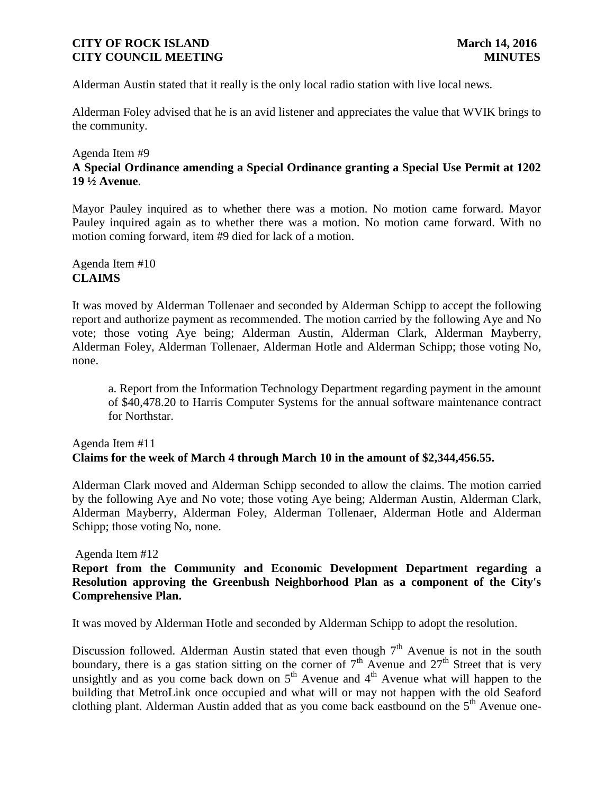Alderman Austin stated that it really is the only local radio station with live local news.

Alderman Foley advised that he is an avid listener and appreciates the value that WVIK brings to the community.

#### Agenda Item #9

# **A Special Ordinance amending a Special Ordinance granting a Special Use Permit at 1202 19 ½ Avenue**.

Mayor Pauley inquired as to whether there was a motion. No motion came forward. Mayor Pauley inquired again as to whether there was a motion. No motion came forward. With no motion coming forward, item #9 died for lack of a motion.

Agenda Item #10 **CLAIMS**

It was moved by Alderman Tollenaer and seconded by Alderman Schipp to accept the following report and authorize payment as recommended. The motion carried by the following Aye and No vote; those voting Aye being; Alderman Austin, Alderman Clark, Alderman Mayberry, Alderman Foley, Alderman Tollenaer, Alderman Hotle and Alderman Schipp; those voting No, none.

a. Report from the Information Technology Department regarding payment in the amount of \$40,478.20 to Harris Computer Systems for the annual software maintenance contract for Northstar.

# Agenda Item #11 **Claims for the week of March 4 through March 10 in the amount of \$2,344,456.55.**

Alderman Clark moved and Alderman Schipp seconded to allow the claims. The motion carried by the following Aye and No vote; those voting Aye being; Alderman Austin, Alderman Clark, Alderman Mayberry, Alderman Foley, Alderman Tollenaer, Alderman Hotle and Alderman Schipp; those voting No, none.

#### Agenda Item #12

**Report from the Community and Economic Development Department regarding a Resolution approving the Greenbush Neighborhood Plan as a component of the City's Comprehensive Plan.** 

It was moved by Alderman Hotle and seconded by Alderman Schipp to adopt the resolution.

Discussion followed. Alderman Austin stated that even though  $7<sup>th</sup>$  Avenue is not in the south boundary, there is a gas station sitting on the corner of  $7<sup>th</sup>$  Avenue and  $27<sup>th</sup>$  Street that is very unsightly and as you come back down on  $5<sup>th</sup>$  Avenue and  $4<sup>th</sup>$  Avenue what will happen to the building that MetroLink once occupied and what will or may not happen with the old Seaford clothing plant. Alderman Austin added that as you come back eastbound on the  $5<sup>th</sup>$  Avenue one-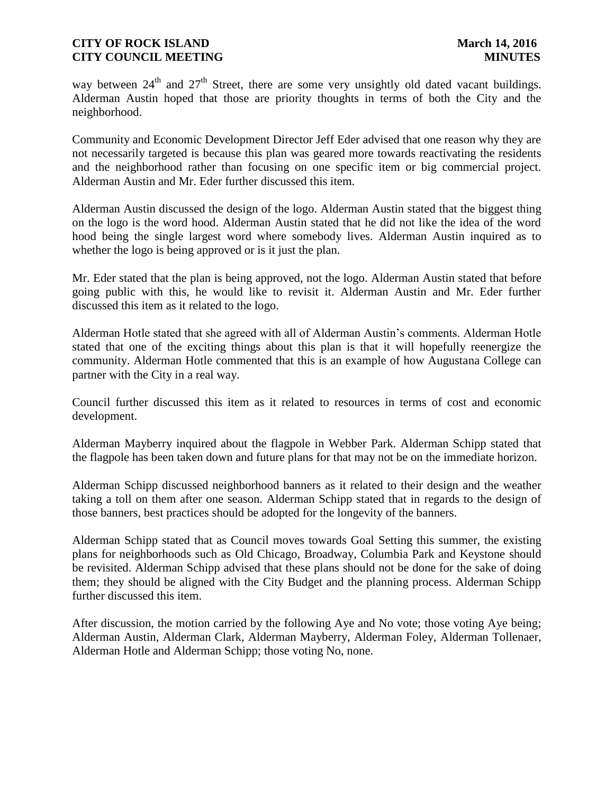way between  $24<sup>th</sup>$  and  $27<sup>th</sup>$  Street, there are some very unsightly old dated vacant buildings. Alderman Austin hoped that those are priority thoughts in terms of both the City and the neighborhood.

Community and Economic Development Director Jeff Eder advised that one reason why they are not necessarily targeted is because this plan was geared more towards reactivating the residents and the neighborhood rather than focusing on one specific item or big commercial project. Alderman Austin and Mr. Eder further discussed this item.

Alderman Austin discussed the design of the logo. Alderman Austin stated that the biggest thing on the logo is the word hood. Alderman Austin stated that he did not like the idea of the word hood being the single largest word where somebody lives. Alderman Austin inquired as to whether the logo is being approved or is it just the plan.

Mr. Eder stated that the plan is being approved, not the logo. Alderman Austin stated that before going public with this, he would like to revisit it. Alderman Austin and Mr. Eder further discussed this item as it related to the logo.

Alderman Hotle stated that she agreed with all of Alderman Austin's comments. Alderman Hotle stated that one of the exciting things about this plan is that it will hopefully reenergize the community. Alderman Hotle commented that this is an example of how Augustana College can partner with the City in a real way.

Council further discussed this item as it related to resources in terms of cost and economic development.

Alderman Mayberry inquired about the flagpole in Webber Park. Alderman Schipp stated that the flagpole has been taken down and future plans for that may not be on the immediate horizon.

Alderman Schipp discussed neighborhood banners as it related to their design and the weather taking a toll on them after one season. Alderman Schipp stated that in regards to the design of those banners, best practices should be adopted for the longevity of the banners.

Alderman Schipp stated that as Council moves towards Goal Setting this summer, the existing plans for neighborhoods such as Old Chicago, Broadway, Columbia Park and Keystone should be revisited. Alderman Schipp advised that these plans should not be done for the sake of doing them; they should be aligned with the City Budget and the planning process. Alderman Schipp further discussed this item.

After discussion, the motion carried by the following Aye and No vote; those voting Aye being; Alderman Austin, Alderman Clark, Alderman Mayberry, Alderman Foley, Alderman Tollenaer, Alderman Hotle and Alderman Schipp; those voting No, none.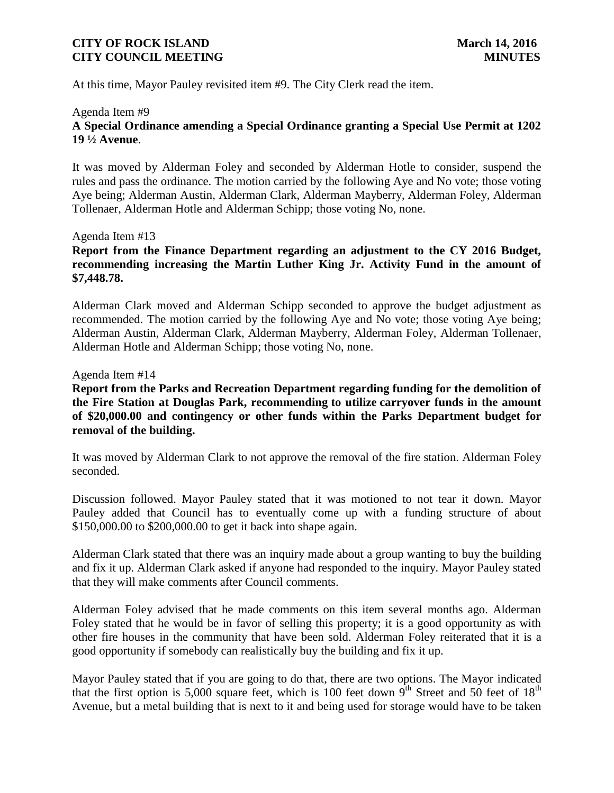At this time, Mayor Pauley revisited item #9. The City Clerk read the item.

#### Agenda Item #9

# **A Special Ordinance amending a Special Ordinance granting a Special Use Permit at 1202 19 ½ Avenue**.

It was moved by Alderman Foley and seconded by Alderman Hotle to consider, suspend the rules and pass the ordinance. The motion carried by the following Aye and No vote; those voting Aye being; Alderman Austin, Alderman Clark, Alderman Mayberry, Alderman Foley, Alderman Tollenaer, Alderman Hotle and Alderman Schipp; those voting No, none.

#### Agenda Item #13

## **Report from the Finance Department regarding an adjustment to the CY 2016 Budget, recommending increasing the Martin Luther King Jr. Activity Fund in the amount of \$7,448.78.**

Alderman Clark moved and Alderman Schipp seconded to approve the budget adjustment as recommended. The motion carried by the following Aye and No vote; those voting Aye being; Alderman Austin, Alderman Clark, Alderman Mayberry, Alderman Foley, Alderman Tollenaer, Alderman Hotle and Alderman Schipp; those voting No, none.

#### Agenda Item #14

**Report from the Parks and Recreation Department regarding funding for the demolition of the Fire Station at Douglas Park, recommending to utilize carryover funds in the amount of \$20,000.00 and contingency or other funds within the Parks Department budget for removal of the building.**

It was moved by Alderman Clark to not approve the removal of the fire station. Alderman Foley seconded.

Discussion followed. Mayor Pauley stated that it was motioned to not tear it down. Mayor Pauley added that Council has to eventually come up with a funding structure of about \$150,000.00 to \$200,000.00 to get it back into shape again.

Alderman Clark stated that there was an inquiry made about a group wanting to buy the building and fix it up. Alderman Clark asked if anyone had responded to the inquiry. Mayor Pauley stated that they will make comments after Council comments.

Alderman Foley advised that he made comments on this item several months ago. Alderman Foley stated that he would be in favor of selling this property; it is a good opportunity as with other fire houses in the community that have been sold. Alderman Foley reiterated that it is a good opportunity if somebody can realistically buy the building and fix it up.

Mayor Pauley stated that if you are going to do that, there are two options. The Mayor indicated that the first option is 5,000 square feet, which is 100 feet down  $9^{th}$  Street and 50 feet of 18<sup>th</sup> Avenue, but a metal building that is next to it and being used for storage would have to be taken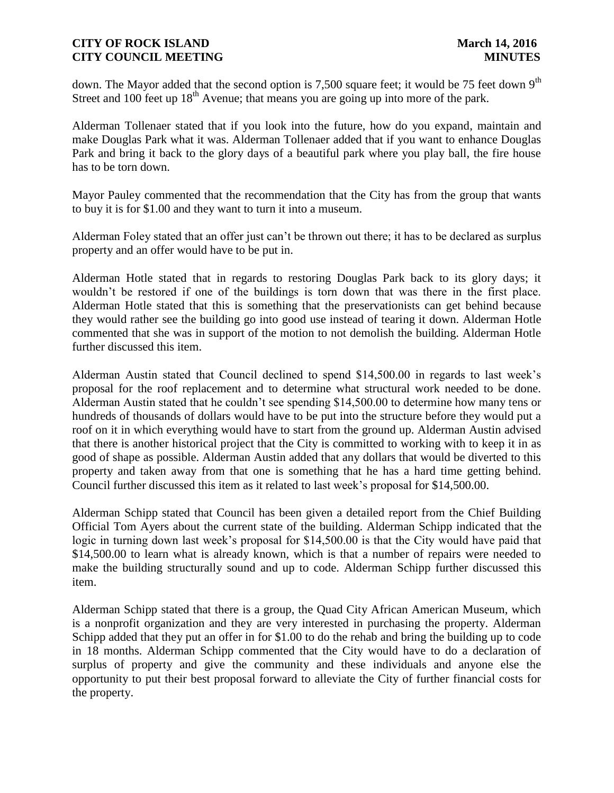down. The Mayor added that the second option is 7,500 square feet; it would be 75 feet down 9<sup>th</sup> Street and 100 feet up  $18<sup>th</sup>$  Avenue; that means you are going up into more of the park.

Alderman Tollenaer stated that if you look into the future, how do you expand, maintain and make Douglas Park what it was. Alderman Tollenaer added that if you want to enhance Douglas Park and bring it back to the glory days of a beautiful park where you play ball, the fire house has to be torn down.

Mayor Pauley commented that the recommendation that the City has from the group that wants to buy it is for \$1.00 and they want to turn it into a museum.

Alderman Foley stated that an offer just can't be thrown out there; it has to be declared as surplus property and an offer would have to be put in.

Alderman Hotle stated that in regards to restoring Douglas Park back to its glory days; it wouldn't be restored if one of the buildings is torn down that was there in the first place. Alderman Hotle stated that this is something that the preservationists can get behind because they would rather see the building go into good use instead of tearing it down. Alderman Hotle commented that she was in support of the motion to not demolish the building. Alderman Hotle further discussed this item.

Alderman Austin stated that Council declined to spend \$14,500.00 in regards to last week's proposal for the roof replacement and to determine what structural work needed to be done. Alderman Austin stated that he couldn't see spending \$14,500.00 to determine how many tens or hundreds of thousands of dollars would have to be put into the structure before they would put a roof on it in which everything would have to start from the ground up. Alderman Austin advised that there is another historical project that the City is committed to working with to keep it in as good of shape as possible. Alderman Austin added that any dollars that would be diverted to this property and taken away from that one is something that he has a hard time getting behind. Council further discussed this item as it related to last week's proposal for \$14,500.00.

Alderman Schipp stated that Council has been given a detailed report from the Chief Building Official Tom Ayers about the current state of the building. Alderman Schipp indicated that the logic in turning down last week's proposal for \$14,500.00 is that the City would have paid that \$14,500.00 to learn what is already known, which is that a number of repairs were needed to make the building structurally sound and up to code. Alderman Schipp further discussed this item.

Alderman Schipp stated that there is a group, the Quad City African American Museum, which is a nonprofit organization and they are very interested in purchasing the property. Alderman Schipp added that they put an offer in for \$1.00 to do the rehab and bring the building up to code in 18 months. Alderman Schipp commented that the City would have to do a declaration of surplus of property and give the community and these individuals and anyone else the opportunity to put their best proposal forward to alleviate the City of further financial costs for the property.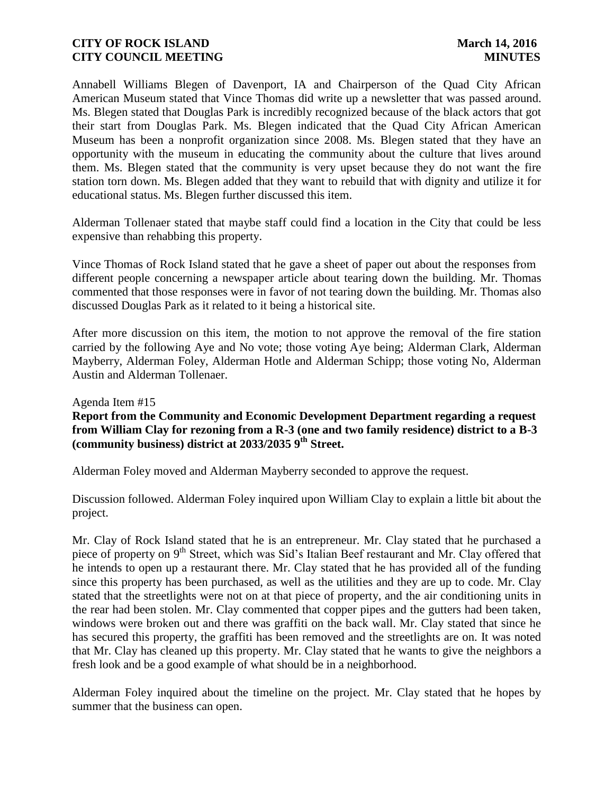Annabell Williams Blegen of Davenport, IA and Chairperson of the Quad City African American Museum stated that Vince Thomas did write up a newsletter that was passed around. Ms. Blegen stated that Douglas Park is incredibly recognized because of the black actors that got their start from Douglas Park. Ms. Blegen indicated that the Quad City African American Museum has been a nonprofit organization since 2008. Ms. Blegen stated that they have an opportunity with the museum in educating the community about the culture that lives around them. Ms. Blegen stated that the community is very upset because they do not want the fire station torn down. Ms. Blegen added that they want to rebuild that with dignity and utilize it for educational status. Ms. Blegen further discussed this item.

Alderman Tollenaer stated that maybe staff could find a location in the City that could be less expensive than rehabbing this property.

Vince Thomas of Rock Island stated that he gave a sheet of paper out about the responses from different people concerning a newspaper article about tearing down the building. Mr. Thomas commented that those responses were in favor of not tearing down the building. Mr. Thomas also discussed Douglas Park as it related to it being a historical site.

After more discussion on this item, the motion to not approve the removal of the fire station carried by the following Aye and No vote; those voting Aye being; Alderman Clark, Alderman Mayberry, Alderman Foley, Alderman Hotle and Alderman Schipp; those voting No, Alderman Austin and Alderman Tollenaer.

#### Agenda Item #15

**(community business) district at 2033/2035 9th Street. Report from the Community and Economic Development Department regarding a request from William Clay for rezoning from a R-3 (one and two family residence) district to a B-3** 

Alderman Foley moved and Alderman Mayberry seconded to approve the request.

Discussion followed. Alderman Foley inquired upon William Clay to explain a little bit about the project.

Mr. Clay of Rock Island stated that he is an entrepreneur. Mr. Clay stated that he purchased a piece of property on 9<sup>th</sup> Street, which was Sid's Italian Beef restaurant and Mr. Clay offered that he intends to open up a restaurant there. Mr. Clay stated that he has provided all of the funding since this property has been purchased, as well as the utilities and they are up to code. Mr. Clay stated that the streetlights were not on at that piece of property, and the air conditioning units in the rear had been stolen. Mr. Clay commented that copper pipes and the gutters had been taken, windows were broken out and there was graffiti on the back wall. Mr. Clay stated that since he has secured this property, the graffiti has been removed and the streetlights are on. It was noted that Mr. Clay has cleaned up this property. Mr. Clay stated that he wants to give the neighbors a fresh look and be a good example of what should be in a neighborhood.

Alderman Foley inquired about the timeline on the project. Mr. Clay stated that he hopes by summer that the business can open.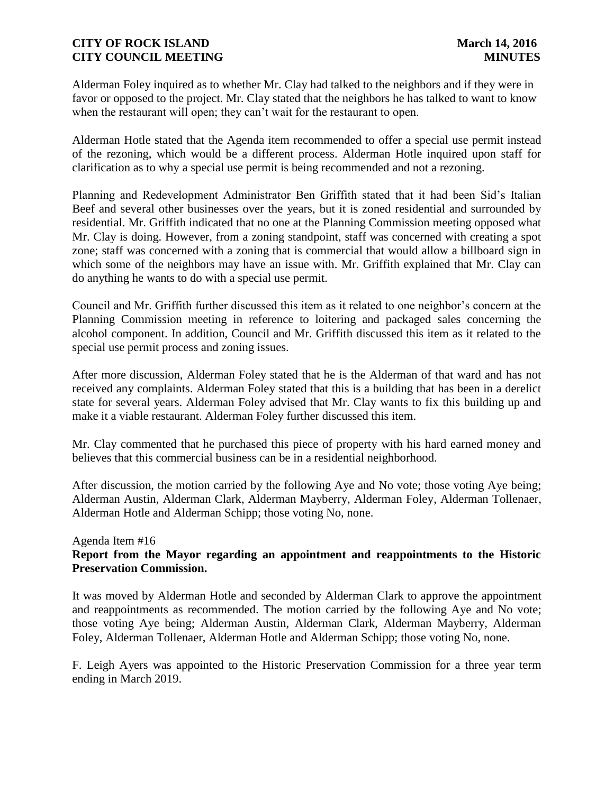Alderman Foley inquired as to whether Mr. Clay had talked to the neighbors and if they were in favor or opposed to the project. Mr. Clay stated that the neighbors he has talked to want to know when the restaurant will open; they can't wait for the restaurant to open.

Alderman Hotle stated that the Agenda item recommended to offer a special use permit instead of the rezoning, which would be a different process. Alderman Hotle inquired upon staff for clarification as to why a special use permit is being recommended and not a rezoning.

Planning and Redevelopment Administrator Ben Griffith stated that it had been Sid's Italian Beef and several other businesses over the years, but it is zoned residential and surrounded by residential. Mr. Griffith indicated that no one at the Planning Commission meeting opposed what Mr. Clay is doing. However, from a zoning standpoint, staff was concerned with creating a spot zone; staff was concerned with a zoning that is commercial that would allow a billboard sign in which some of the neighbors may have an issue with. Mr. Griffith explained that Mr. Clay can do anything he wants to do with a special use permit.

Council and Mr. Griffith further discussed this item as it related to one neighbor's concern at the Planning Commission meeting in reference to loitering and packaged sales concerning the alcohol component. In addition, Council and Mr. Griffith discussed this item as it related to the special use permit process and zoning issues.

After more discussion, Alderman Foley stated that he is the Alderman of that ward and has not received any complaints. Alderman Foley stated that this is a building that has been in a derelict state for several years. Alderman Foley advised that Mr. Clay wants to fix this building up and make it a viable restaurant. Alderman Foley further discussed this item.

Mr. Clay commented that he purchased this piece of property with his hard earned money and believes that this commercial business can be in a residential neighborhood.

After discussion, the motion carried by the following Aye and No vote; those voting Aye being; Alderman Austin, Alderman Clark, Alderman Mayberry, Alderman Foley, Alderman Tollenaer, Alderman Hotle and Alderman Schipp; those voting No, none.

#### Agenda Item #16 **Report from the Mayor regarding an appointment and reappointments to the Historic Preservation Commission.**

It was moved by Alderman Hotle and seconded by Alderman Clark to approve the appointment and reappointments as recommended. The motion carried by the following Aye and No vote; those voting Aye being; Alderman Austin, Alderman Clark, Alderman Mayberry, Alderman Foley, Alderman Tollenaer, Alderman Hotle and Alderman Schipp; those voting No, none.

F. Leigh Ayers was appointed to the Historic Preservation Commission for a three year term ending in March 2019.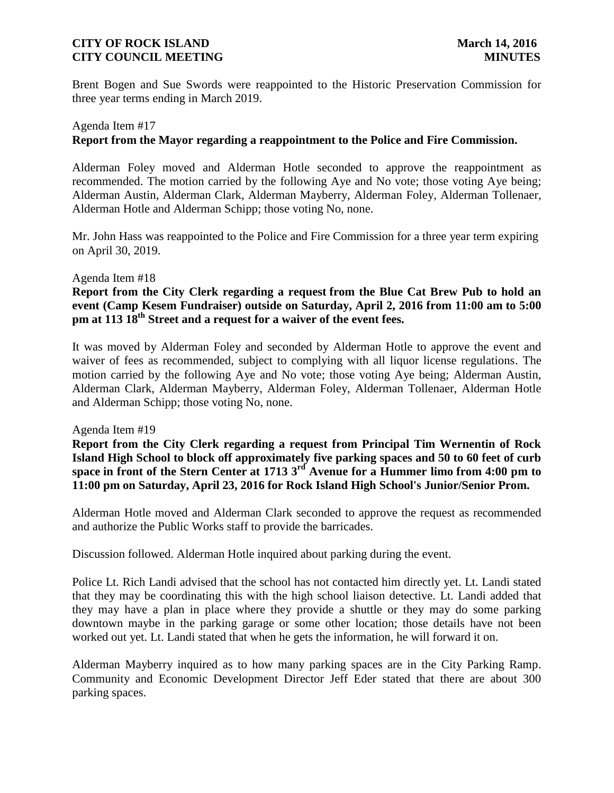Brent Bogen and Sue Swords were reappointed to the Historic Preservation Commission for three year terms ending in March 2019.

# Agenda Item #17 **Report from the Mayor regarding a reappointment to the Police and Fire Commission.**

Alderman Foley moved and Alderman Hotle seconded to approve the reappointment as recommended. The motion carried by the following Aye and No vote; those voting Aye being; Alderman Austin, Alderman Clark, Alderman Mayberry, Alderman Foley, Alderman Tollenaer, Alderman Hotle and Alderman Schipp; those voting No, none.

Mr. John Hass was reappointed to the Police and Fire Commission for a three year term expiring on April 30, 2019.

#### Agenda Item #18

## **pm at 113 18th Street and a request for a waiver of the event fees. Report from the City Clerk regarding a request from the Blue Cat Brew Pub to hold an event (Camp Kesem Fundraiser) outside on Saturday, April 2, 2016 from 11:00 am to 5:00**

It was moved by Alderman Foley and seconded by Alderman Hotle to approve the event and waiver of fees as recommended, subject to complying with all liquor license regulations. The motion carried by the following Aye and No vote; those voting Aye being; Alderman Austin, Alderman Clark, Alderman Mayberry, Alderman Foley, Alderman Tollenaer, Alderman Hotle and Alderman Schipp; those voting No, none.

#### Agenda Item #19

**Report from the City Clerk regarding a request from Principal Tim Wernentin of Rock Island High School to block off approximately five parking spaces and 50 to 60 feet of curb space in front of the Stern Center at 1713 3rd Avenue for a Hummer limo from 4:00 pm to 11:00 pm on Saturday, April 23, 2016 for Rock Island High School's Junior/Senior Prom.**

Alderman Hotle moved and Alderman Clark seconded to approve the request as recommended and authorize the Public Works staff to provide the barricades.

Discussion followed. Alderman Hotle inquired about parking during the event.

Police Lt. Rich Landi advised that the school has not contacted him directly yet. Lt. Landi stated that they may be coordinating this with the high school liaison detective. Lt. Landi added that they may have a plan in place where they provide a shuttle or they may do some parking downtown maybe in the parking garage or some other location; those details have not been worked out yet. Lt. Landi stated that when he gets the information, he will forward it on.

Alderman Mayberry inquired as to how many parking spaces are in the City Parking Ramp. Community and Economic Development Director Jeff Eder stated that there are about 300 parking spaces.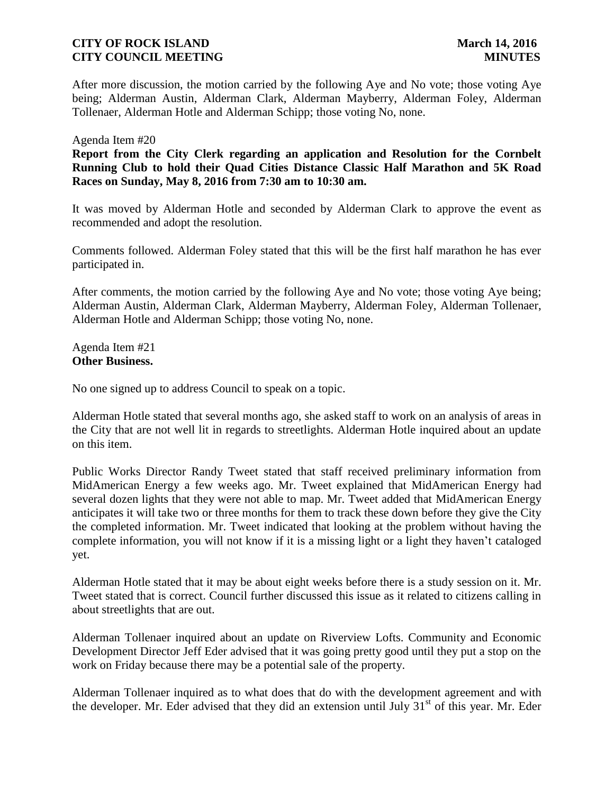After more discussion, the motion carried by the following Aye and No vote; those voting Aye being; Alderman Austin, Alderman Clark, Alderman Mayberry, Alderman Foley, Alderman Tollenaer, Alderman Hotle and Alderman Schipp; those voting No, none.

#### Agenda Item #20

**Report from the City Clerk regarding an application and Resolution for the Cornbelt Running Club to hold their Quad Cities Distance Classic Half Marathon and 5K Road Races on Sunday, May 8, 2016 from 7:30 am to 10:30 am.** 

It was moved by Alderman Hotle and seconded by Alderman Clark to approve the event as recommended and adopt the resolution.

Comments followed. Alderman Foley stated that this will be the first half marathon he has ever participated in.

After comments, the motion carried by the following Aye and No vote; those voting Aye being; Alderman Austin, Alderman Clark, Alderman Mayberry, Alderman Foley, Alderman Tollenaer, Alderman Hotle and Alderman Schipp; those voting No, none.

Agenda Item #21 **Other Business.** 

No one signed up to address Council to speak on a topic.

Alderman Hotle stated that several months ago, she asked staff to work on an analysis of areas in the City that are not well lit in regards to streetlights. Alderman Hotle inquired about an update on this item.

Public Works Director Randy Tweet stated that staff received preliminary information from MidAmerican Energy a few weeks ago. Mr. Tweet explained that MidAmerican Energy had several dozen lights that they were not able to map. Mr. Tweet added that MidAmerican Energy anticipates it will take two or three months for them to track these down before they give the City the completed information. Mr. Tweet indicated that looking at the problem without having the complete information, you will not know if it is a missing light or a light they haven't cataloged yet.

Alderman Hotle stated that it may be about eight weeks before there is a study session on it. Mr. Tweet stated that is correct. Council further discussed this issue as it related to citizens calling in about streetlights that are out.

Alderman Tollenaer inquired about an update on Riverview Lofts. Community and Economic Development Director Jeff Eder advised that it was going pretty good until they put a stop on the work on Friday because there may be a potential sale of the property.

the developer. Mr. Eder advised that they did an extension until July 31<sup>st</sup> of this year. Mr. Eder Alderman Tollenaer inquired as to what does that do with the development agreement and with